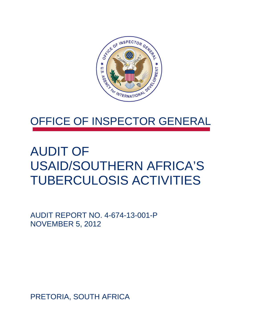

## OFFICE OF INSPECTOR GENERAL

# AUDIT OF USAID/SOUTHERN AFRICA'S TUBERCULOSIS ACTIVITIES

AUDIT REPORT NO. 4-674-13-001-P NOVEMBER 5, 2012

PRETORIA, SOUTH AFRICA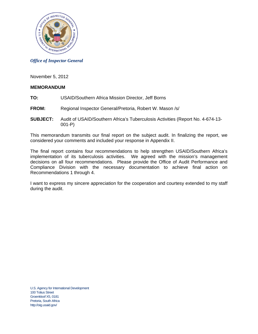

### *Office of Inspector General*

November 5, 2012

### **MEMORANDUM**

- **TO:** USAID/Southern Africa Mission Director, Jeff Borns
- **FROM:** Regional Inspector General/Pretoria, Robert W. Mason /s/
- **SUBJECT:** Audit of USAID/Southern Africa's Tuberculosis Activities (Report No. 4-674-13- 001-P)

This memorandum transmits our final report on the subject audit. In finalizing the report, we considered your comments and included your response in Appendix II.

The final report contains four recommendations to help strengthen USAID/Southern Africa's implementation of its tuberculosis activities. We agreed with the mission's management decisions on all four recommendations. Please provide the Office of Audit Performance and Compliance Division with the necessary documentation to achieve final action on Recommendations 1 through 4.

I want to express my sincere appreciation for the cooperation and courtesy extended to my staff during the audit.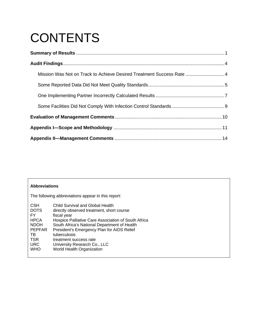# **CONTENTS**

| Mission Was Not on Track to Achieve Desired Treatment Success Rate  4 |  |
|-----------------------------------------------------------------------|--|
|                                                                       |  |
|                                                                       |  |
|                                                                       |  |
|                                                                       |  |
|                                                                       |  |
|                                                                       |  |

| <b>Abbreviations</b>                                                                                                            |                                                                                                                                                                                                                                                                                                                                                          |  |  |  |  |
|---------------------------------------------------------------------------------------------------------------------------------|----------------------------------------------------------------------------------------------------------------------------------------------------------------------------------------------------------------------------------------------------------------------------------------------------------------------------------------------------------|--|--|--|--|
| The following abbreviations appear in this report:                                                                              |                                                                                                                                                                                                                                                                                                                                                          |  |  |  |  |
| <b>CSH</b><br><b>DOTS</b><br>FY<br><b>HPCA</b><br><b>NDOH</b><br><b>PEPFAR</b><br>TB.<br><b>TSR</b><br><b>URC</b><br><b>WHO</b> | Child Survival and Global Health<br>directly observed treatment, short course<br>fiscal year<br>Hospice Palliative Care Association of South Africa<br>South Africa's National Department of Health<br>President's Emergency Plan for AIDS Relief<br>tuberculosis<br>treatment success rate<br>University Research Co., LLC<br>World Health Organization |  |  |  |  |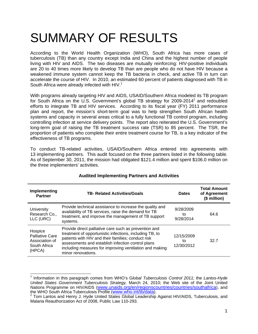# SUMMARY OF RESULTS

South Africa were already infected with HIV. $1$ According to the World Health Organization (WHO), South Africa has more cases of tuberculosis (TB) than any country except India and China and the highest number of people living with HIV and AIDS. The two diseases are mutually reinforcing: HIV-positive individuals are 20 to 40 times more likely to develop TB than are people who do not have HIV because a weakened immune system cannot keep the TB bacteria in check, and active TB in turn can accelerate the course of HIV. In 2010, an estimated 60 percent of patients diagnosed with TB in

With programs already targeting HIV and AIDS, USAID/Southern Africa modeled its TB program for South Africa on the U.S. Government's global TB strategy for 2009-2014<sup>2</sup> and redoubled efforts to integrate TB and HIV services. According to its fiscal year (FY) 2011 performance plan and report, the mission's short-term goal was to help strengthen South African health systems and capacity in several areas critical to a fully functional TB control program, including controlling infection at service delivery points. The report also reiterated the U.S. Government's long-term goal of raising the TB treatment success rate (TSR) to 85 percent. The TSR, the proportion of patients who complete their entire treatment course for TB, is a key indicator of the effectiveness of TB programs.

To conduct TB-related activities, USAID/Southern Africa entered into agreements with 13 implementing partners. This audit focused on the three partners listed in the following table. As of September 30, 2011, the mission had obligated \$121.4 million and spent \$106.0 million on the three implementers' activities.

| Implementing<br><b>Partner</b>                                                | <b>TB- Related Activities/Goals</b>                                                                                                                                                                                                                                                                          | <b>Dates</b>                   | <b>Total Amount</b><br>of Agreement<br>(\$ million) |
|-------------------------------------------------------------------------------|--------------------------------------------------------------------------------------------------------------------------------------------------------------------------------------------------------------------------------------------------------------------------------------------------------------|--------------------------------|-----------------------------------------------------|
| University<br>Research Co.,<br>LLC (URC)                                      | Provide technical assistance to increase the quality and<br>availability of TB services, raise the demand for TB<br>treatment, and improve the management of TB support<br>systems.                                                                                                                          | 9/28/2009<br>to<br>9/28/2014   | 64.6                                                |
| Hospice<br><b>Palliative Care</b><br>Association of<br>South Africa<br>(HPCA) | Provide direct palliative care such as prevention and<br>treatment of opportunistic infections, including TB, to<br>patients with HIV and their families; conduct risk<br>assessments and establish infection control plans<br>including measures for improving ventilation and making<br>minor renovations. | 12/15/2009<br>tο<br>12/30/2012 | 32.7                                                |

### **Audited Implementing Partners and Activities**

 $\overline{a}$ 

the WHO South Africa Tuberculosis Profile (www.who.int/tb/data).<br><sup>2</sup> Tom Lantos and Henry J. Hyde United States Global Leadership Against HIV/AIDS, Tuberculosis, and 1 Information in this paragraph comes from WHO's G*lobal Tuberculosis Control 2011;* the *Lantos-Hyde United States Government Tuberculosis Strategy,* March 24, 2010; the Web site of the Joint United Nations Programme on HIV/AIDS (www.unaids.org/en/regionscountries/countries/southafrica), and

Malaria Reauthorization Act of 2008, Public Law 110-293.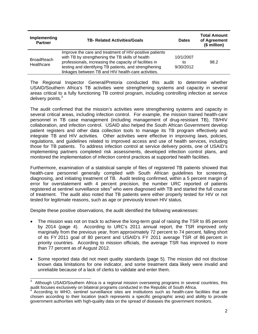| Implementing<br><b>Partner</b>  | <b>TB- Related Activities/Goals</b>                                                                                                                                                                                                                                                     | <b>Dates</b>                 | <b>Total Amount</b><br>of Agreement<br>(\$ million) |
|---------------------------------|-----------------------------------------------------------------------------------------------------------------------------------------------------------------------------------------------------------------------------------------------------------------------------------------|------------------------------|-----------------------------------------------------|
| <b>BroadReach</b><br>Healthcare | Improve the care and treatment of HIV-positive patients<br>with TB by strengthening the TB skills of health<br>professionals, increasing the capacity of facilities in<br>testing and identifying TB patients, and strengthening<br>linkages between TB and HIV health-care activities. | 10/1/2007<br>tΟ<br>9/30/2012 | 98.2                                                |

The Regional Inspector General/Pretoria conducted this audit to determine whether USAID/Southern Africa's TB activities were strengthening systems and capacity in several areas critical to a fully functioning TB control program, including controlling infection at service delivery points.<sup>3</sup>

The audit confirmed that the mission's activities were strengthening systems and capacity in several critical areas, including infection control. For example, the mission trained health-care personnel in TB case management (including management of drug-resistant TB), TB/HIV collaboration, and infection control. USAID also helped the South African Government develop patient registers and other data collection tools to manage its TB program effectively and integrate TB and HIV activities. Other activities were effective in improving laws, policies, regulations, and guidelines related to improved access and use of health services, including those for TB patients. To address infection control at service delivery points, one of USAID's implementing partners completed risk assessments, developed infection control plans, and monitored the implementation of infection control practices at supported health facilities.

Furthermore, examination of a statistical sample of files of registered TB patients showed that health-care personnel generally complied with South African guidelines for screening, diagnosing, and initiating treatment of TB. Audit testing confirmed, within a 5 percent margin of error for overstatement with 4 percent precision, the number URC reported of patients registered at sentinel surveillance sites<sup>4</sup> who were diagnosed with TB and started the full course of treatment. The audit also noted that TB patients were either properly tested for HIV or not tested for legitimate reasons, such as age or previously known HIV status.

Despite these positive observations, the audit identified the following weaknesses:

- The mission was not on track to achieve the long-term goal of raising the TSR to 85 percent by 2014 (page 4). According to URC's 2011 annual report, the TSR improved only marginally from the previous year, from approximately 72 percent to 74 percent, falling short of its FY 2011 goal of 80 percent and USAID's FY 2011 average TSR of 86 percent in priority countries. According to mission officials, the average TSR has improved to more than 77 percent as of August 2012.
- Some reported data did not meet quality standards (page 5). The mission did not disclose known data limitations for one indicator, and some treatment data likely were invalid and unreliable because of a lack of clerks to validate and enter them.

 $\frac{1}{3}$  Although USAID/Southern Africa is a regional mission overseeing programs in several countries, this audit focuses exclusively on bilateral programs conducted in the Republic of South Africa. <sup>4</sup>

According to WHO, sentinel surveillance sites are institutions such as health-care facilities that are chosen according to their location (each represents a specific geographic area) and ability to provide government authorities with high-quality data on the spread of diseases the government monitors.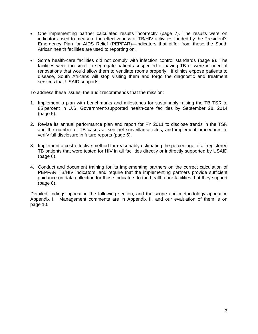- One implementing partner calculated results incorrectly (page 7). The results were on indicators used to measure the effectiveness of TB/HIV activities funded by the President's Emergency Plan for AIDS Relief (PEPFAR)—indicators that differ from those the South African health facilities are used to reporting on.
- Some health-care facilities did not comply with infection control standards (page 9). The facilities were too small to segregate patients suspected of having TB or were in need of renovations that would allow them to ventilate rooms properly. If clinics expose patients to disease, South Africans will stop visiting them and forgo the diagnostic and treatment services that USAID supports.

To address these issues, the audit recommends that the mission:

- 1. Implement a plan with benchmarks and milestones for sustainably raising the TB TSR to 85 percent in U.S. Government-supported health-care facilities by September 28, 2014 (page 5).
- 2. Revise its annual performance plan and report for FY 2011 to disclose trends in the TSR and the number of TB cases at sentinel surveillance sites, and implement procedures to verify full disclosure in future reports (page 6).
- 3. Implement a cost-effective method for reasonably estimating the percentage of all registered TB patients that were tested for HIV in all facilities directly or indirectly supported by USAID (page 6).
- 4. Conduct and document training for its implementing partners on the correct calculation of PEPFAR TB/HIV indicators, and require that the implementing partners provide sufficient guidance on data collection for those indicators to the health-care facilities that they support (page 8).

Detailed findings appear in the following section, and the scope and methodology appear in Appendix I. Management comments are in Appendix II, and our evaluation of them is on page 10.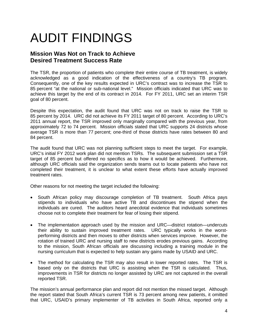# AUDIT FINDINGS

## **Mission Was Not on Track to Achieve Desired Treatment Success Rate**

acknowledged as a good indication of the effectiveness of a country's TB program. The TSR, the proportion of patients who complete their entire course of TB treatment, is widely Consequently, one of the key results expected in URC's contract was to increase the TSR to 85 percent "at the national or sub-national level." Mission officials indicated that URC was to achieve this target by the end of its contract in 2014. For FY 2011, URC set an interim TSR goal of 80 percent.

Despite this expectation, the audit found that URC was not on track to raise the TSR to 85 percent by 2014. URC did not achieve its FY 2011 target of 80 percent. According to URC's 2011 annual report, the TSR improved only marginally compared with the previous year, from approximately 72 to 74 percent. Mission officials stated that URC supports 24 districts whose average TSR is more than 77 percent; one-third of those districts have rates between 80 and 84 percent.

The audit found that URC was not planning sufficient steps to meet the target. For example, URC's initial FY 2012 work plan did not mention TSRs. The subsequent submission set a TSR target of 85 percent but offered no specifics as to how it would be achieved. Furthermore, although URC officials said the organization sends teams out to locate patients who have not completed their treatment, it is unclear to what extent these efforts have actually improved treatment rates.

Other reasons for not meeting the target included the following:

- South African policy may discourage completion of TB treatment. South Africa pays stipends to individuals who have active TB and discontinues the stipend when the individuals are cured. The auditors heard anecdotal evidence that individuals sometimes choose not to complete their treatment for fear of losing their stipend.
- The implementation approach used by the mission and URC—district rotation—undercuts their ability to sustain improved treatment rates. URC typically works in the worstperforming districts and then moves to other districts when services improve. However, the rotation of trained URC and nursing staff to new districts erodes previous gains. According to the mission, South African officials are discussing including a training module in the nursing curriculum that is expected to help sustain any gains made by USAID and URC.
- The method for calculating the TSR may also result in lower reported rates. The TSR is based only on the districts that URC is assisting when the TSR is calculated. Thus, improvements in TSR for districts no longer assisted by URC are not captured in the overall reported TSR.

The mission's annual performance plan and report did not mention the missed target. Although the report stated that South Africa's current TSR is 73 percent among new patients, it omitted that URC, USAID's primary implementer of TB activities in South Africa, reported only a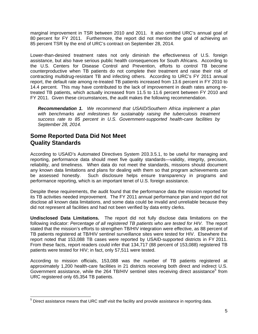marginal improvement in TSR between 2010 and 2011. It also omitted URC's annual goal of 80 percent for FY 2011. Furthermore, the report did not mention the goal of achieving an 85 percent TSR by the end of URC's contract on September 28, 2014.

Lower-than-desired treatment rates not only diminish the effectiveness of U.S. foreign assistance, but also have serious public health consequences for South Africans. According to the U.S. Centers for Disease Control and Prevention, efforts to control TB become counterproductive when TB patients do not complete their treatment and raise their risk of contracting multidrug-resistant TB and infecting others. According to URC's FY 2011 annual report, the default rate among re-treated TB patients increased from 13.6 percent in FY 2010 to 14.4 percent. This may have contributed to the lack of improvement in death rates among retreated TB patients, which actually increased from 11.5 to 11.6 percent between FY 2010 and FY 2011. Given these circumstances, the audit makes the following recommendation.

*Recommendation 1. We recommend that USAID/Southern Africa implement a plan with benchmarks and milestones for sustainably raising the tuberculosis treatment success rate to 85 percent in U.S. Government-supported health-care facilities by September 28, 2014.* 

### **Some Reported Data Did Not Meet Quality Standards**

-

According to USAID's Automated Directives System 203.3.5.1, to be useful for managing and reporting, performance data should meet five quality standards—validity, integrity, precision, reliability, and timeliness. When data do not meet the standards, missions should document any known data limitations and plans for dealing with them so that program achievements can be assessed honestly. Such disclosure helps ensure transparency in programs and performance reporting, which is an important tenet of U.S. foreign assistance.

Despite these requirements, the audit found that the performance data the mission reported for its TB activities needed improvement. The FY 2011 annual performance plan and report did not disclose all known data limitations, and some data could be invalid and unreliable because they did not represent all facilities and had not been verified by data entry clerks.

report noted that 153,088 TB cases were reported by USAID-supported districts in FY 2011. **Undisclosed Data Limitations.** The report did not fully disclose data limitations on the following indicator: *Percentage of all registered TB patients who are tested for HIV*. The report stated that the mission's efforts to strengthen TB/HIV integration were effective, as 88 percent of TB patients registered at TB/HIV sentinel surveillance sites were tested for HIV. Elsewhere the From these facts, report readers could infer that 134,717 (88 percent of 153,088) registered TB patients were tested for HIV; in fact, only 57,511 were tested.

According to mission officials, 153,088 was the number of TB patients registered at approximately 1,200 health-care facilities in 21 districts receiving both direct and indirect U.S. Government assistance, while the 264 TB/HIV sentinel sites receiving direct assistance<sup>5</sup> from URC registered only 65,354 TB patients.

 $5$  Direct assistance means that URC staff visit the facility and provide assistance in reporting data.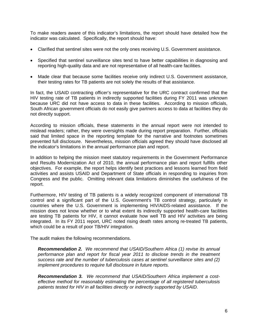To make readers aware of this indicator's limitations, the report should have detailed how the indicator was calculated. Specifically, the report should have:

- Clarified that sentinel sites were not the only ones receiving U.S. Government assistance.
- Specified that sentinel surveillance sites tend to have better capabilities in diagnosing and reporting high-quality data and are not representative of all health-care facilities.
- Made clear that because some facilities receive only indirect U.S. Government assistance, their testing rates for TB patients are not solely the results of that assistance.

In fact, the USAID contracting officer's representative for the URC contract confirmed that the HIV testing rate of TB patients in indirectly supported facilities during FY 2011 was unknown because URC did not have access to data in these facilities. According to mission officials, South African government officials do not easily give partners access to data at facilities they do not directly support.

According to mission officials, these statements in the annual report were not intended to mislead readers; rather, they were oversights made during report preparation. Further, officials said that limited space in the reporting template for the narrative and footnotes sometimes prevented full disclosure. Nevertheless, mission officials agreed they should have disclosed all the indicator's limitations in the annual performance plan and report.

In addition to helping the mission meet statutory requirements in the Government Performance and Results Modernization Act of 2010, the annual performance plan and report fulfills other objectives. For example, the report helps identify best practices and lessons learned from field activities and assists USAID and Department of State officials in responding to inquiries from Congress and the public. Omitting relevant data limitations diminishes the usefulness of the report.

Furthermore, HIV testing of TB patients is a widely recognized component of international TB control and a significant part of the U.S. Government's TB control strategy, particularly in countries where the U.S. Government is implementing HIV/AIDS-related assistance. If the mission does not know whether or to what extent its indirectly supported health-care facilities are testing TB patients for HIV, it cannot evaluate how well TB and HIV activities are being integrated. In its FY 2011 report, URC noted rising death rates among re-treated TB patients, which could be a result of poor TB/HIV integration.

The audit makes the following recommendations.

*Recommendation 2. We recommend that USAID/Southern Africa (1) revise its annual performance plan and report for fiscal year 2011 to disclose trends in the treatment success rate and the number of tuberculosis cases at sentinel surveillance sites and (2) implement procedures to require full disclosure in future reports.* 

*Recommendation 3. We recommend that USAID/Southern Africa implement a costeffective method for reasonably estimating the percentage of all registered tuberculosis patients tested for HIV in all facilities directly or indirectly supported by USAID.*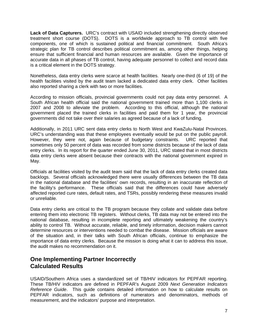**Lack of Data Capturers.** URC's contract with USAID included strengthening directly observed treatment short course (DOTS). DOTS is a worldwide approach to TB control with five components, one of which is sustained political and financial commitment. South Africa's strategic plan for TB control describes political commitment as, among other things, helping ensure that sufficient financial and human resources are available. Given the importance of accurate data in all phases of TB control, having adequate personnel to collect and record data is a critical element in the DOTS strategy.

also reported sharing a clerk with two or more facilities. Nonetheless, data entry clerks were scarce at health facilities. Nearly one-third (6 of 19) of the health facilities visited by the audit team lacked a dedicated data entry clerk. Other facilities

governments did not take over their salaries as agreed because of a lack of funding. According to mission officials, provincial governments could not pay data entry personnel. A South African health official said the national government trained more than 1,100 clerks in 2007 and 2008 to alleviate the problem. According to this official, although the national government placed the trained clerks in facilities and paid them for 1 year, the provincial

Additionally, in 2011 URC sent data entry clerks to North West and KwaZulu-Natal Provinces. URC's understanding was that these employees eventually would be put on the public payroll. However, they were not, again because of budgetary constraints. URC reported that sometimes only 50 percent of data was recorded from some districts because of the lack of data entry clerks. In its report for the quarter ended June 30, 2011, URC stated that in most districts data entry clerks were absent because their contracts with the national government expired in May.

or unreliable Officials at facilities visited by the audit team said that the lack of data entry clerks created data backlogs. Several officials acknowledged there were usually differences between the TB data in the national database and the facilities' own records, resulting in an inaccurate reflection of the facility's performance. These officials said that the differences could have adversely affected reported cure rates, default rates, and TSRs, possibly rendering these measures invalid

Data entry clerks are critical to the TB program because they collate and validate data before entering them into electronic TB registers. Without clerks, TB data may not be entered into the national database, resulting in incomplete reporting and ultimately weakening the country's ability to control TB. Without accurate, reliable, and timely information, decision makers cannot determine resources or interventions needed to combat the disease. Mission officials are aware of the situation and, in their talks with South African officials, continue to emphasize the importance of data entry clerks. Because the mission is doing what it can to address this issue, the audit makes no recommendation on it.

## **One Implementing Partner Incorrectly Calculated Results**

USAID/Southern Africa uses a standardized set of TB/HIV indicators for PEPFAR reporting. These TB/HIV indicators are defined in PEPFAR's August 2009 *Next Generation Indicators Reference Guide*. This guide contains detailed information on how to calculate results on PEPFAR indicators, such as definitions of numerators and denominators, methods of measurement, and the indicators' purpose and interpretation.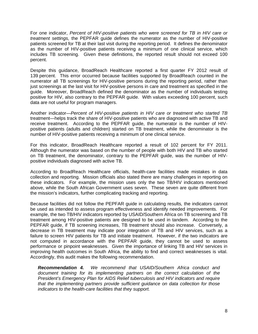For one indicator, *Percent of HIV-positive patients who were screened for TB in HIV care or treatment settings,* the PEPFAR guide defines the numerator as the number of HIV-positive patients screened for TB at their last visit during the reporting period. It defines the denominator as the number of HIV-positive patients receiving a minimum of one clinical service, which includes TB screening. Given these definitions, the reported result should not exceed 100 percent.

Despite this guidance, BroadReach Healthcare reported a first quarter FY 2012 result of 139 percent. This error occurred because facilities supported by BroadReach counted in the numerator all TB screenings for HIV-positive persons during the reporting period, rather than just screenings at the last visit for HIV-positive persons in care and treatment as specified in the guide. Moreover, BroadReach defined the denominator as the number of individuals testing positive for HIV, also contrary to the PEPFAR guide. With values exceeding 100 percent, such data are not useful for program managers.

Another indicator—*Percent of HIV-positive patients in HIV care or treatment who started TB*  treatment—helps track the share of HIV-positive patients who are diagnosed with active TB and receive treatment. According to the PEPFAR guide, the numerator is the number of HIVpositive patients (adults and children) started on TB treatment, while the denominator is the number of HIV-positive patients receiving a minimum of one clinical service.

For this indicator, BroadReach Healthcare reported a result of 102 percent for FY 2011. Although the numerator was based on the number of people with both HIV and TB who started on TB treatment, the denominator, contrary to the PEPFAR guide, was the number of HIVpositive individuals diagnosed with active TB.

According to BroadReach Healthcare officials, health-care facilities made mistakes in data collection and reporting. Mission officials also stated there are many challenges in reporting on these indicators. For example, the mission uses only the two TB/HIV indicators mentioned above, while the South African Government uses seven. These seven are quite different from the mission's indicators, further complicating tracking and reporting.

improving health outcomes in South Africa, the ability to find and correct weaknesses is vital.<br>Accordingly, this audit makes the following recommendation. Accordingly, this audit makes the following recommendation. Because facilities did not follow the PEPFAR guide in calculating results*,* the indicators cannot be used as intended to assess program effectiveness and identify needed improvements. For example, the two TB/HIV indicators reported by USAID/Southern Africa on TB screening and TB treatment among HIV-positive patients are designed to be used in tandem. According to the PEPFAR guide, if TB screening increases, TB treatment should also increase. Conversely, a decrease in TB treatment may indicate poor integration of TB and HIV services, such as a failure to screen HIV patients for TB and initiate treatment. However, if the two indicators are not computed in accordance with the PEPFAR guide, they cannot be used to assess performance or pinpoint weaknesses. Given the importance of linking TB and HIV services in

*Recommendation 4. We recommend that USAID/Southern Africa conduct and document training for its implementing partners on the correct calculation of the President's Emergency Plan for AIDS Relief tuberculosis and HIV indicators and require that the implementing partners provide sufficient guidance on data collection for those indicators to the health-care facilities that they support.*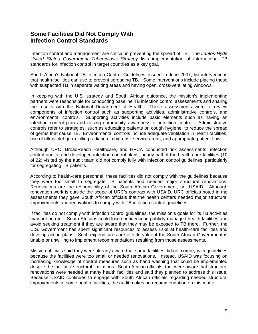## **Some Facilities Did Not Comply With Infection Control Standards**

Infection control and management are critical in preventing the spread of TB. The *Lantos-Hyde United States Government Tuberculosis Strategy* lists implementation of international TB standards for infection control in target countries as a key goal.

South Africa's National TB Infection Control Guidelines, issued in June 2007, list interventions that health facilities can use to prevent spreading TB. Some interventions include placing those with suspected TB in separate waiting areas and having open, cross-ventilating windows.

In keeping with the U.S. strategy and South African guidance, the mission's implementing partners were responsible for conducting baseline TB infection control assessments and sharing the results with the National Department of Health. These assessments were to review components of infection control such as supporting activities, administrative controls, and environmental controls. Supporting activities include basic elements such as having an infection control plan and raising community awareness of infection control. Administrative controls refer to strategies, such as educating patients on cough hygiene, to reduce the spread of germs that cause TB. Environmental controls include adequate ventilation in health facilities, use of ultraviolet germ-killing radiation in high-risk service areas, and appropriate patient flow.

Although URC, BroadReach Healthcare, and HPCA conducted risk assessments, infection control audits, and developed infection control plans, nearly half of the health-care facilities (10 of 22) visited by the audit team did not comply fully with infection control guidelines, particularly for segregating TB patients.

According to health-care personnel, these facilities did not comply with the guidelines because they were too small to segregate TB patients and needed major structural renovations. Renovations are the responsibility of the South African Government, not USAID. Although renovation work is outside the scope of URC's contract with USAID, URC officials noted in the assessments they gave South African officials that the health centers needed major structural improvements and renovations to comply with TB infection control guidelines.

unable or unwilling to implement recommendations resulting from those assessments. If facilities do not comply with infection control guidelines, the mission's goals for its TB activities may not be met. South Africans could lose confidence in publicly managed health facilities and avoid seeking treatment if they are aware that they may be exposed to TB there. Further, the U.S. Government has spent significant resources to assess risks at health-care facilities and develop action plans. Such expenditures are of little value if the South African Government is

renovations were needed at many health facilities and said they planned to address this issue. Mission officials said they were already aware that some facilities did not comply with guidelines because the facilities were too small or needed renovations. Instead, USAID was focusing on increasing knowledge of control measures such as hand washing that could be implemented despite the facilities' structural limitations. South African officials, too, were aware that structural Because USAID continues to engage with South African officials regarding needed structural improvements at some health facilities, the audit makes no recommendation on this matter.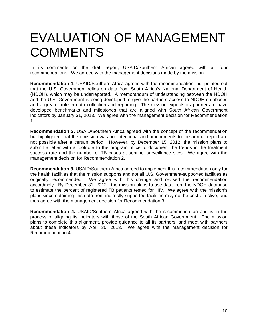## EVALUATION OF MANAGEMENT **COMMENTS**

In its comments on the draft report, USAID/Southern African agreed with all four recommendations. We agreed with the management decisions made by the mission.

**Recommendation 1.** USAID/Southern Africa agreed with the recommendation, but pointed out that the U.S. Government relies on data from South Africa's National Department of Health (NDOH), which may be underreported. A memorandum of understanding between the NDOH and the U.S. Government is being developed to give the partners access to NDOH databases and a greater role in data collection and reporting. The mission expects its partners to have developed benchmarks and milestones that are aligned with South African Government indicators by January 31, 2013. We agree with the management decision for Recommendation 1.

**Recommendation 2.** USAID/Southern Africa agreed with the concept of the recommendation but highlighted that the omission was not intentional and amendments to the annual report are not possible after a certain period. However, by December 15, 2012, the mission plans to submit a letter with a footnote to the program office to document the trends in the treatment success rate and the number of TB cases at sentinel surveillance sites. We agree with the management decision for Recommendation 2.

**Recommendation 3.** USAID/Southern Africa agreed to implement this recommendation only for the health facilities that the mission supports and not all U.S. Government-supported facilities as originally recommended. We agree with this change and revised the recommendation accordingly. By December 31, 2012, the mission plans to use data from the NDOH database to estimate the percent of registered TB patients tested for HIV. We agree with the mission's plans since obtaining this data from indirectly supported facilities may not be cost-effective, and thus agree with the management decision for Recommendation 3.

**Recommendation 4.** USAID/Southern Africa agreed with the recommendation and is in the process of aligning its indicators with those of the South African Government. The mission plans to complete this alignment, provide guidance to all its partners, and meet with partners about these indicators by April 30, 2013. We agree with the management decision for Recommendation 4.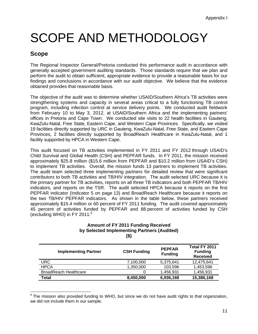# SCOPE AND METHODOLOGY

## **Scope**

The Regional Inspector General/Pretoria conducted this performance audit in accordance with generally accepted government auditing standards. Those standards require that we plan and perform the audit to obtain sufficient, appropriate evidence to provide a reasonable basis for our findings and conclusions in accordance with our audit objective. We believe that the evidence obtained provides that reasonable basis.

 from February 10 to May 3, 2012, at USAID/Southern Africa and the implementing partners' The objective of the audit was to determine whether USAID/Southern Africa's TB activities were strengthening systems and capacity in several areas critical to a fully functioning TB control program, including infection control at service delivery points. We conducted audit fieldwork offices in Pretoria and Cape Town. We conducted site visits to 22 health facilities in Gauteng, KwaZulu-Natal, Free State, Eastern Cape, and Western Cape Provinces. Specifically, we visited 19 facilities directly supported by URC in Gauteng, KwaZulu-Natal, Free State, and Eastern Cape Provinces, 2 facilities directly supported by BroadReach Healthcare in KwaZulu-Natal, and 1 facility supported by HPCA in Western Cape.

(excluding WHO) in FY 2011.<sup>6</sup> This audit focused on TB activities implemented in FY 2011 and FY 2012 through USAID's Child Survival and Global Health (CSH) and PEPFAR funds. In FY 2011, the mission received approximately \$25.8 million (\$15.6 million from PEPFAR and \$10.2 million from USAID's CSH) to implement TB activities. Overall, the mission funds 13 partners to implement TB activities. The audit team selected three implementing partners for detailed review that were significant contributors to both TB activities and TB/HIV integration. The audit selected URC because it is the primary partner for TB activities, reports on all three TB indicators and both PEPFAR TB/HIV indicators, and reports on the TSR. The audit selected HPCA because it reports on the first PEPFAR indicator (Indicator 5 on page 13) and BroadReach Healthcare because it reports on the two TB/HIV PEPFAR indicators. As shown in the table below, these partners received approximately \$15.4 million or 60 percent of FY 2011 funding. The audit covered approximately 45 percent of activities funded by PEPFAR and 88 percent of activities funded by CSH

### **Amount of FY 2011 Funding Received by Selected Implementing Partners (Audited) (\$)**

| <b>Implementing Partner</b>  | <b>CSH Funding</b> | <b>PEPFAR</b><br><b>Funding</b> | Total FY 2011<br><b>Funding</b><br><b>Received</b> |
|------------------------------|--------------------|---------------------------------|----------------------------------------------------|
| URC.                         | 7,100,000          | 5,375,641                       | 12,475,641                                         |
| <b>HPCA</b>                  | 1,350,000          | 103,596                         | 1,453,596                                          |
| <b>BroadReach Healthcare</b> |                    | 1,456,931                       | 1,456,931                                          |
| Total                        | 8,450,000          | 6,936,168                       | 15,386,168                                         |

  $6$  The mission also provided funding to WHO, but since we do not have audit rights to that organization, we did not include them in our sample.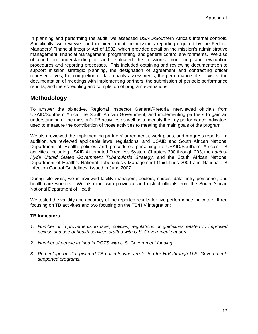In planning and performing the audit, we assessed USAID/Southern Africa's internal controls. Specifically, we reviewed and inquired about the mission's reporting required by the Federal Managers' Financial Integrity Act of 1982, which provided detail on the mission's administrative management, financial management, programming, and general control environments. We also obtained an understanding of and evaluated the mission's monitoring and evaluation procedures and reporting processes. This included obtaining and reviewing documentation to support mission strategic planning, the designation of agreement and contracting officer representatives, the completion of data quality assessments, the performance of site visits, the documentation of meetings with implementing partners, the submission of periodic performance reports, and the scheduling and completion of program evaluations.

## **Methodology**

To answer the objective, Regional Inspector General/Pretoria interviewed officials from USAID/Southern Africa, the South African Government, and implementing partners to gain an understanding of the mission's TB activities as well as to identify the key performance indicators used to measure the contribution of those activities to meeting the main goals of the program.

We also reviewed the implementing partners' agreements, work plans, and progress reports. In addition, we reviewed applicable laws, regulations, and USAID and South African National Department of Health policies and procedures pertaining to USAID/Southern Africa's TB activities, including USAID Automated Directives System Chapters 200 through 203, the *Lantos-Hyde United States Government Tuberculosis Strategy*, and the South African National Department of Health's National Tuberculosis Management Guidelines 2009 and National TB Infection Control Guidelines, issued in June 2007.

During site visits, we interviewed facility managers, doctors, nurses, data entry personnel, and health-care workers. We also met with provincial and district officials from the South African National Department of Health.

We tested the validity and accuracy of the reported results for five performance indicators, three focusing on TB activities and two focusing on the TB/HIV integration:

### **TB Indicators**

- *1. Number of improvements to laws, policies, regulations or guidelines related to improved access and use of health services drafted with U.S. Government support.*
- *2. Number of people trained in DOTS with U.S. Government funding.*
- *3. Percentage of all registered TB patients who are tested for HIV through U.S. Governmentsupported programs.*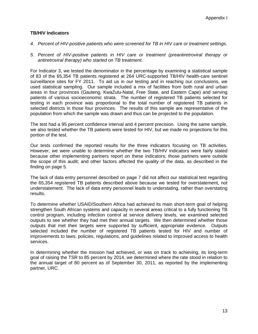### **TB/HIV Indicators**

- *4. Percent of HIV-positive patients who were screened for TB in HIV care or treatment settings.*
- *antiretroviral therapy) who started on TB treatment. 5. Percent of HIV-positive patients in HIV care or treatment (preantiretroviral therapy or*

For Indicator 3, we tested the denominator in the percentage by examining a statistical sample of 83 of the 65,354 TB patients registered at 264 URC-supported TB/HIV health-care sentinel surveillance sites for FY 2011. To aid us in our testing and in reaching our conclusions, we used statistical sampling. Our sample included a mix of facilities from both rural and urban areas in four provinces (Gauteng, KwaZulu-Natal, Free State, and Eastern Cape) and serving patients of various socioeconomic strata. The number of registered TB patients selected for testing in each province was proportional to the total number of registered TB patients in selected districts in those four provinces. The results of this sample are representative of the population from which the sample was drawn and thus can be projected to the population.

The test had a 95 percent confidence interval and 4 percent precision. Using the same sample, we also tested whether the TB patients were tested for HIV, but we made no projections for this portion of the test.

Our tests confirmed the reported results for the three indicators focusing on TB activities. However, we were unable to determine whether the two TB/HIV indicators were fairly stated because other implementing partners report on these indicators; those partners were outside the scope of this audit; and other factors affected the quality of the data, as described in the finding on page 5.

The lack of data entry personnel described on page 7 did not affect our statistical test regarding the 65,354 registered TB patients described above because we tested for overstatement, not understatement. The lack of data entry personnel leads to understating, rather than overstating results.

To determine whether USAID/Southern Africa had achieved its main short-term goal of helping strengthen South African systems and capacity in several areas critical to a fully functioning TB control program, including infection control at service delivery levels, we examined selected outputs to see whether they had met their annual targets. We then determined whether those outputs that met their targets were supported by sufficient, appropriate evidence. Outputs selected included the number of registered TB patients tested for HIV and number of improvements to laws, policies, regulations, and guidelines related to improved access to health services.

In determining whether the mission had achieved, or was on track to achieving, its long-term goal of raising the TSR to 85 percent by 2014, we determined where the rate stood in relation to the annual target of 80 percent as of September 30, 2011, as reported by the implementing partner, URC.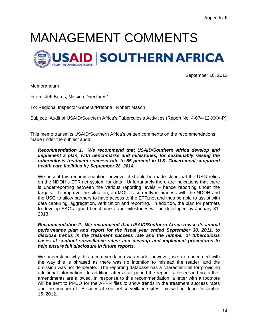# MANAGEMENT COMMENTS



September 10, 2012

**Memorandum** 

From: Jeff Borns, Mission Director /s/

To: Regional Inspector General/Pretoria: Robert Mason

Subject: Audit of USAID/Southern Africa's Tuberculosis Activities (Report No. 4-674-12-XXX-P)

This memo transmits USAID/Southern Africa's written comments on the recommendations made under the subject audit.

### *Recommendation 1. We recommend that USAID/Southern Africa develop and implement a plan, with benchmarks and milestones, for sustainably raising the tuberculosis treatment success rate to 85 percent in U.S. Government-supported health care facilities by September 28, 2014.*

We accept this recommendation; however it should be made clear that the USG relies on the NDOH's ETR.net system for data. Unfortunately there are indications that there is underreporting between the various reporting levels – hence reporting under the targets. To improve the situation, an MOU is currently in process with the NDOH and the USG to allow partners to have access to the ETR.net and thus be able to assist with data capturing, aggregation, verification and reporting. In addition, the plan for partners to develop SAG aligned benchmarks and milestones will be developed by January 31, 2013.

 *Recommendation 2. We recommend that USAID/Southern Africa revise its annual performance plan and report for the fiscal year ended September 30, 2011, to disclose trends in the treatment success rate and the number of tuberculosis cases at sentinel surveillance sites; and develop and implement procedures to help ensure full disclosure in future reports.* 

We understand why this recommendation was made, however, we are concerned with the way this is phrased as there was no intention to mislead the reader, and the omission was not deliberate. The reporting database has a character limit for providing additional information. In addition, after a set period the report is closed and no further amendments are allowed. In response to this recommendation, a letter with a footnote will be sent to PPDO for the APPR files to show trends in the treatment success rates and the number of TB cases at sentinel surveillance sites; this will be done December 15, 2012.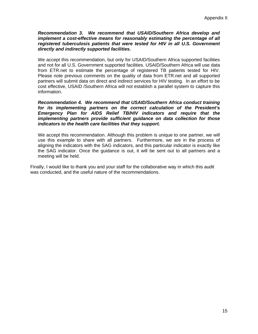### *Recommendation 3. We recommend that USAID/Southern Africa develop and directly and indirectly supported facilities. implement a cost-effective means for reasonably estimating the percentage of all registered tuberculosis patients that were tested for HIV in all U.S. Government*

We accept this recommendation, but only for USAID/Southern Africa supported facilities and not for all U.S. Government supported facilities. USAID/Southern Africa will use data from ETR.net to estimate the percentage of registered TB patients tested for HIV. Please note previous comments on the quality of data from ETR.net and all supported partners will submit data on direct and indirect services for HIV testing. In an effort to be cost effective, USAID /Southern Africa will not establish a parallel system to capture this information.

### *Recommendation 4. We recommend that USAID/Southern Africa conduct training for its implementing partners on the correct calculation of the President's Emergency Plan for AIDS Relief TB/HIV indicators and require that the implementing partners provide sufficient guidance on data collection for those indicators to the health care facilities that they support.*

We accept this recommendation. Although this problem is unique to one partner, we will use this example to share with all partners. Furthermore, we are in the process of aligning the indicators with the SAG indicators, and this particular indicator is exactly like the SAG indicator. Once the guidance is out, it will be sent out to all partners and a meeting will be held.

Finally, I would like to thank you and your staff for the collaborative way in which this audit was conducted, and the useful nature of the recommendations.